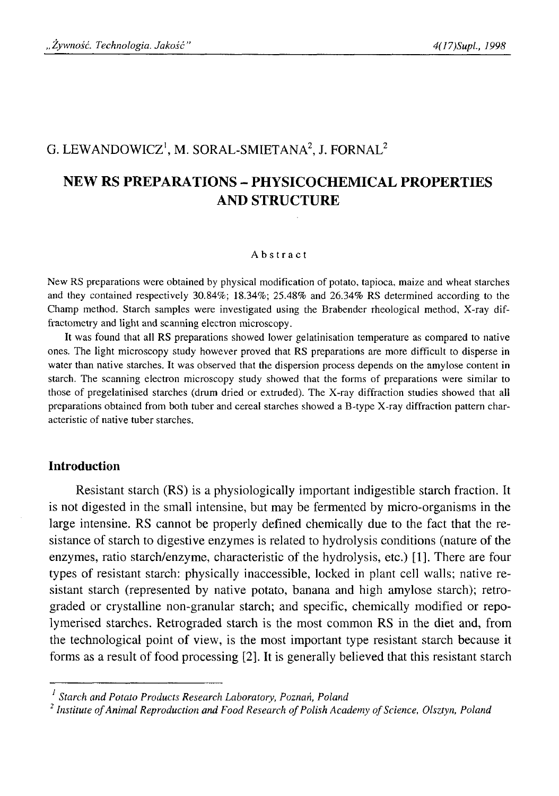# G. LEWANDOWICZ<sup>1</sup>, M. SORAL-SMIETANA<sup>2</sup>, J. FORNAL<sup>2</sup>

# **NEW RS PREPARATIONS - PHYSICOCHEMICAL PROPERTIES AND STRUCTURE**

#### Abstract

New RS preparations were obtained by physical modification of potato, tapioca, maize and wheat starches and they contained respectively 30.84%; 18.34%; 25.48% and 26.34% RS determined according to the Champ method. Starch samples were investigated using the Brabender rheological method, X-ray diffractometry and light and scanning electron microscopy.

It was found that all RS preparations showed lower gelatinisation temperature as compared to native ones. The light microscopy study however proved that RS preparations are more difficult to disperse in water than native starches. It was observed that the dispersion process depends on the amylose content in starch. The scanning electron microscopy study showed that the forms of preparations were similar to those of pregelatinised starches (drum dried or extruded). The X-ray diffraction studies showed that all preparations obtained from both tuber and cereal starches showed a B-type X-ray diffraction pattern characteristic of native tuber starches.

## **Introduction**

Resistant starch (RS) is a physiologically important indigestible starch fraction. It is not digested in the small intensine, but may be fermented by micro-organisms in the large intensine. RS cannot be properly defined chemically due to the fact that the resistance of starch to digestive enzymes is related to hydrolysis conditions (nature of the enzymes, ratio starch/enzyme, characteristic of the hydrolysis, etc.) [1]. There are four types of resistant starch: physically inaccessible, locked in plant cell walls; native resistant starch (represented by native potato, banana and high amylose starch); retrograded or crystalline non-granular starch; and specific, chemically modified or repolymerised starches. Retrograded starch is the most common RS in the diet and, from the technological point of view, is the most important type resistant starch because it forms as a result of food processing [2]. It is generally believed that this resistant starch

*1 Starch and Potato Products Research Laboratory, Poznań, Poland*

<sup>&</sup>lt;sup>2</sup> Institute of Animal Reproduction and Food Research of Polish Academy of Science, Olsztyn, Poland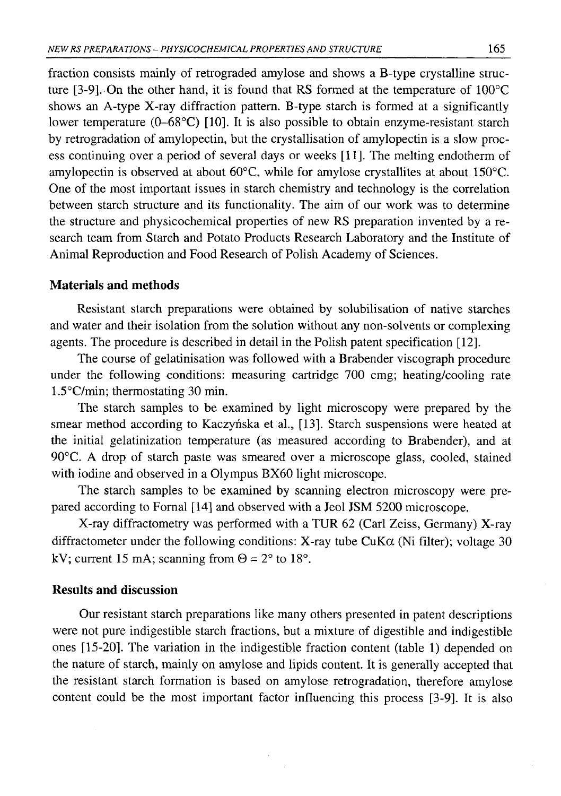fraction consists mainly of retrograded amylose and shows a B-type crystalline structure [3-9]. On the other hand, it is found that RS formed at the temperature of 100°C shows an A-type X-ray diffraction pattern. B-type starch is formed at a significantly lower temperature (0-68°C) [10]. It is also possible to obtain enzyme-resistant starch by retrogradation of amylopectin, but the crystallisation of amylopectin is a slow process continuing over a period of several days or weeks [11]. The melting endotherm of amylopectin is observed at about 60°C, while for amylose crystallites at about 150°C. One of the most important issues in starch chemistry and technology is the correlation between starch structure and its functionality. The aim of our work was to determine the structure and physicochemical properties of new RS preparation invented by a research team from Starch and Potato Products Research Laboratory and the Institute of Animal Reproduction and Food Research of Polish Academy of Sciences.

### **Materials and methods**

Resistant starch preparations were obtained by solubilisation of native starches and water and their isolation from the solution without any non-solvents or complexing agents. The procedure is described in detail in the Polish patent specification [12].

The course of gelatinisation was followed with a Brabender viscograph procedure under the following conditions: measuring cartridge 700 cmg; heating/cooling rate 1.5°C/min; thermostating 30 min.

The starch samples to be examined by light microscopy were prepared by the smear method according to Kaczyńska et al., [13]. Starch suspensions were heated at the initial gelatinization temperature (as measured according to Brabender), and at 90°C. A drop of starch paste was smeared over a microscope glass, cooled, stained with iodine and observed in a Olympus BX60 light microscope.

The starch samples to be examined by scanning electron microscopy were prepared according to Fornal [14] and observed with a Jeol JSM 5200 microscope.

X-ray diffractometry was performed with a TUR 62 (Carl Zeiss, Germany) X-ray diffractometer under the following conditions: X-ray tube  $CuK\alpha$  (Ni filter); voltage 30 kV; current 15 mA; scanning from  $\Theta = 2^{\circ}$  to 18°.

## **Results and discussion**

Our resistant starch preparations like many others presented in patent descriptions were not pure indigestible starch fractions, but a mixture of digestible and indigestible ones [15-20]. The variation in the indigestible fraction content (table 1) depended on the nature of starch, mainly on amylose and lipids content. It is generally accepted that the resistant starch formation is based on amylose retrogradation, therefore amylose content could be the most important factor influencing this process [3-9]. It is also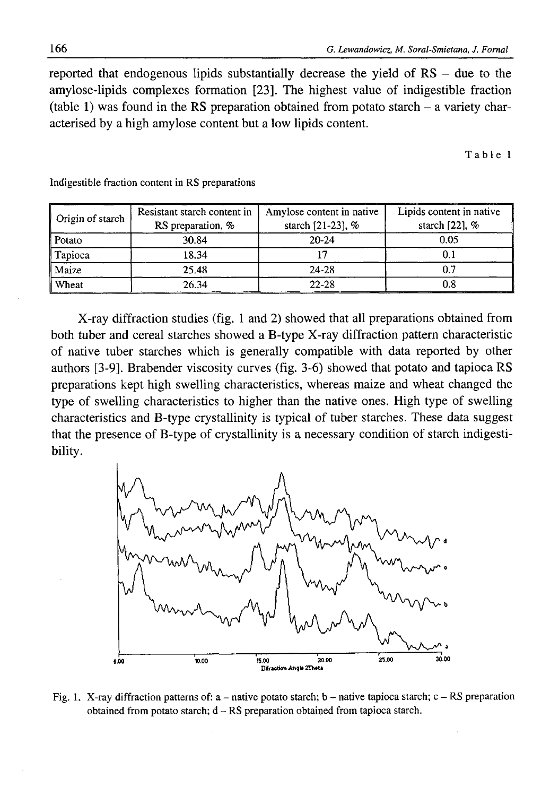reported that endogenous lipids substantially decrease the yield of RS - due to the amylose-lipids complexes formation [23]. The highest value of indigestible fraction (table 1) was found in the RS preparation obtained from potato starch  $-$  a variety characterised by a high amylose content but a low lipids content.

Table 1

| Origin of starch | Resistant starch content in<br>RS preparation, % | Amylose content in native<br>starch [21-23], % | Lipids content in native<br>starch $[22]$ , $%$ |
|------------------|--------------------------------------------------|------------------------------------------------|-------------------------------------------------|
| Potato           | 30.84                                            | $20 - 24$                                      | 0.05                                            |
| Tapioca          | 18.34                                            |                                                | U. I                                            |
| Maize            | 25.48                                            | 24-28                                          | 0.7                                             |
| Wheat            | 26.34                                            | $22 - 28$                                      | $\rm 0.8$                                       |

Indigestible fraction content in RS preparations

X-ray diffraction studies (fig. 1 and 2) showed that all preparations obtained from both tuber and cereal starches showed a B-type X-ray diffraction pattern characteristic of native tuber starches which is generally compatible with data reported by other authors [3-9]. Brabender viscosity curves (fig. 3-6) showed that potato and tapioca RS preparations kept high swelling characteristics, whereas maize and wheat changed the type of swelling characteristics to higher than the native ones. High type of swelling characteristics and B-type crystallinity is typical of tuber starches. These data suggest that the presence of B-type of crystallinity is a necessary condition of starch indigestibility.



Fig. 1. X-ray diffraction patterns of: a – native potato starch; b – native tapioca starch; c – RS preparation obtained from potato starch;  $d - RS$  preparation obtained from tapioca starch.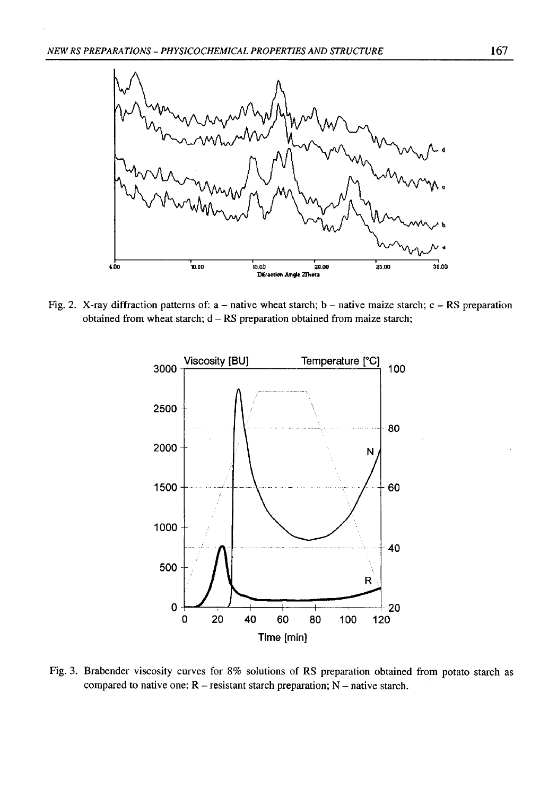

Fig. 2. X-ray diffraction patterns of:  $a - n$  native wheat starch;  $b - n$  ative maize starch;  $c - RS$  preparation obtained from wheat starch;  $d - RS$  preparation obtained from maize starch;



Fig. 3. Brabender viscosity curves for 8% solutions of RS preparation obtained from potato starch as compared to native one:  $R$  - resistant starch preparation;  $N$  - native starch.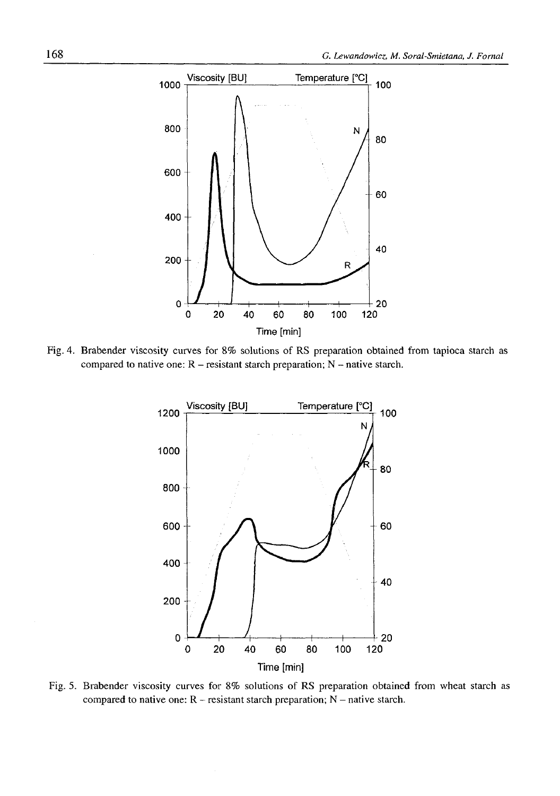

Fig. 4. Brabender viscosity curves for 8% solutions of RS preparation obtained from tapioca starch as compared to native one:  $R$  – resistant starch preparation;  $N$  – native starch.



Fig. 5. Brabender viscosity curves for 8% solutions of RS preparation obtained from wheat starch as compared to native one:  $R$  - resistant starch preparation;  $N$  - native starch.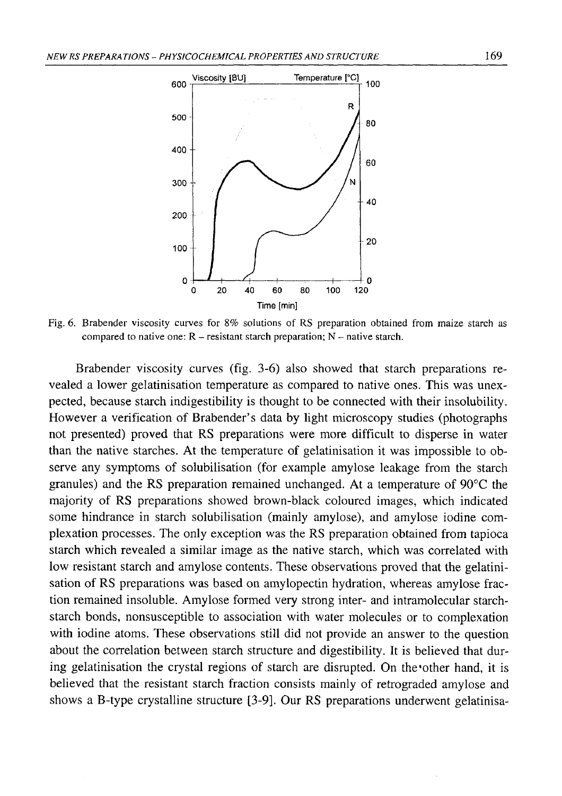

Fig. 6. Brabender viscosity curves for 8% solutions of RS preparation obtained from maize starch as compared to native one:  $R$  – resistant starch preparation;  $N$  – native starch.

Brabender viscosity curves (fig. 3-6) also showed that starch preparations revealed a lower gelatinisation temperature as compared to native ones. This was unexpected, because starch indigestibility is thought to be connected with their insolubility. However a verification of Brabender's data by light microscopy studies (photographs not presented) proved that RS preparations were more difficult to disperse in water than the native starches. At the temperature of gelatinisation it was impossible to observe any symptoms of solubilisation (for example amylose leakage from the starch granules) and the RS preparation remained unchanged. At a temperature of 90°C the majority of RS preparations showed brown-black coloured images, which indicated some hindrance in starch solubilisation (mainly amylose), and amylose iodine complexation processes. The only exception was the RS preparation obtained from tapioca starch which revealed a similar image as the native starch, which was correlated with low resistant starch and amylose contents. These observations proved that the gelatinisation of RS preparations was based on amylopectin hydration, whereas amylose fraction remained insoluble. Amylose formed very strong inter- and intramolecular starchstarch bonds, nonsusceptible to association with water molecules or to complexation with iodine atoms. These observations still did not provide an answer to the question about the correlation between starch structure and digestibility. It is believed that during gelatinisation the crystal regions of starch are disrupted. On the other hand, it is believed that the resistant starch fraction consists mainly of retrograded amylose and shows a B-type crystalline structure [3-9]. Our RS preparations underwent gelatinisa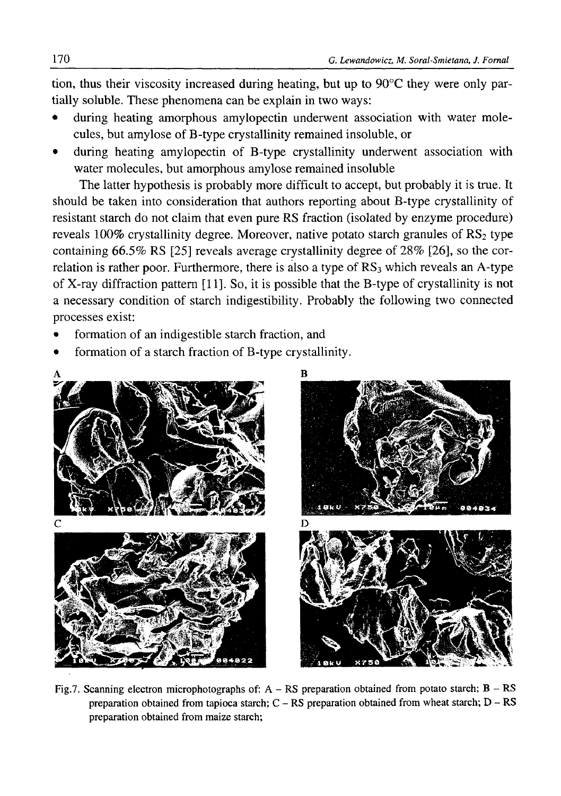tion, thus their viscosity increased during heating, but up to  $90^{\circ}$ C they were only partially soluble. These phenomena can be explain in two ways:

- during heating amorphous amylopectin underwent association with water molecules, but amylose of B-type crystallinity remained insoluble, or
- during heating amylopectin of B-type crystallinity underwent association with water molecules, but amorphous amylose remained insoluble

The latter hypothesis is probably more difficult to accept, but probably it is true. It should be taken into consideration that authors reporting about B-type crystallinity of resistant starch do not claim that even pure RS fraction (isolated by enzyme procedure) reveals  $100\%$  crystallinity degree. Moreover, native potato starch granules of  $RS_2$  type containing 66.5% RS [25] reveals average crystallinity degree of 28% [26], so the correlation is rather poor. Furthermore, there is also a type of RS<sub>3</sub> which reveals an A-type of X-ray diffraction pattern [11]. So, it is possible that the B-type of crystallinity is not a necessary condition of starch indigestibility. Probably the following two connected processes exist:

- formation of an indigestible starch fraction, and
- formation of a starch fraction of B-type crystallinity.



Fig.7. Scanning electron microphotographs of:  $A - RS$  preparation obtained from potato starch;  $B - RS$ preparation obtained from tapioca starch; C - RS preparation obtained from wheat starch; D - RS preparation obtained from maize starch;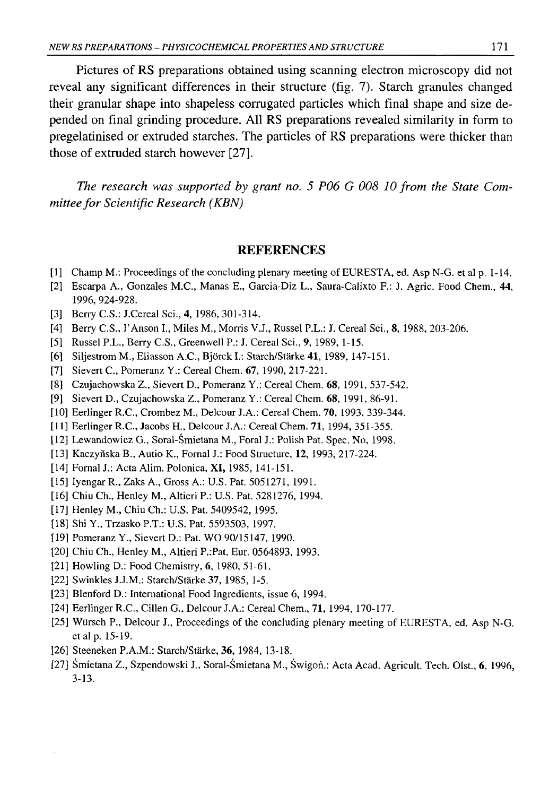Pictures of RS preparations obtained using scanning electron microscopy did not reveal any significant differences in their structure (fig. 7). Starch granules changed their granular shape into shapeless corrugated particles which final shape and size depended on final grinding procedure. All RS preparations revealed similarity in form to pregelatinised or extruded starches. The particles of RS preparations were thicker than those of extruded starch however [27].

*The research was supported by grant no. 5 P06 G 008 10 from the State Committee for Scientific Research (KBN)* 

### REFERENCES

- [1] Champ M.: Proceedings of the concluding plenary meeting of EURESTA, ed. Asp N-G. et al p. 1-14.
- [2] Escarpa A., Gonzales M.C., Manas E., Garcia-Diz L., Saura-Calixto F.: J. Agric. Food Chem., 44, 1996, 924-928.
- [3] Berry C.S.: J.Cereal Sci., 4, 1986, 301-314.
- [4] Berry C.S., I'Anson I., Miles M., Morris V.J., Russel P.L.: J. Cereal Sci., 8, 1988, 203-206.
- [5] Russel P.L., Berry C.S., Greenwell P.: J. Cereal Sci., **9,** 1989, 1-15.
- [6] Siljestrom M., Eliasson A.C., Bjorck I.: Starch/Stärke 41, 1989, 147-151.
- [7] Sievert C., Pomeranz Y.: Cereal Chem. 67, 1990, 217-221.
- [8] Czujachowska Z., Sievert D., Pomeranz Y.: Cereal Chem. 68, 1991, 537-542.
- [9] Sievert D., Czujachowska Z., Pomeranz Y.: Cereal Chem. 68, 1991, 86-91.
- [10] Eerlinger R.C., Crombez M., Delcour J.A.: Cereal Chem. 70, 1993, 339-344.
- [11] Eerlinger R.C., Jacobs H., Delcour J.A.: Cereal Chem. 71, 1994, 351-355.
- [12] Lewandowicz G., Soral-Śmietana M., Foral J.: Polish Pat. Spec. No, 1998.
- [13] Kaczyńska B., Autio K., Fornal J.: Food Structure, 12, 1993, 217-224.
- [14] Fornal J.: Acta Alim. Polonica, **XI,** 1985, 141-151.
- [15] Iyengar R., Zaks A., Gross A.: U.S. Pat. 5051271, 1991.
- [16] Chiu Ch., Henley M., Altieri P.: U.S. Pat. 5281276, 1994.
- [17] Henley M., Chiu Ch.: U.S. Pat. 5409542, 1995.
- [18] Shi Y., Trzasko P.T.: U.S. Pat. 5593503, 1997.
- [19] Pomeranz Y., Sievert D.: Pat. WO 90/15147, 1990.
- [20] Chiu Ch., Henley M., Altieri P.:Pat. Eur. 0564893, 1993.
- [21] Howling D.: Food Chemistry, 6, 1980, 51-61.
- [22] Swinkles J.J.M.: Starch/Stärke 37, 1985, 1-5.
- [23] Blenford D.: International Food Ingredients, issue 6, 1994.
- [24] Eerlinger R.C., Cillen G., Delcour J.A.: Cereal Chem., 71, 1994, 170-177.
- [25] Wiirsch P., Delcour J., Proceedings of the concluding plenary meeting of EURESTA, ed. Asp N-G. et al p. 15-19.
- [26] Steeneken P.A.M.: Starch/Stärke, 36, 1984, 13-18.
- [27] Śmietana Z., Szpendowski J., Soral-Śmietana M., Świgoń.: Acta Acad. Agricult. Tech. Olst., 6, 1996, 3-13.